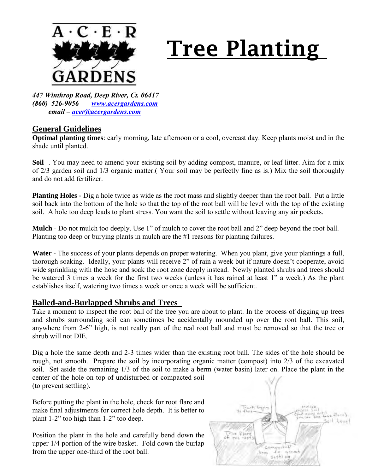

## **Tree Planting**

*447 Winthrop Road, Deep River, Ct. 06417 (860) 526-9056 [www.acergardens.com](http://www.acergardens.com/) email – [acer@acergardens.com](mailto:acer@acergardens.com)*

## **General Guidelines**

**Optimal planting times**: early morning, late afternoon or a cool, overcast day. Keep plants moist and in the shade until planted.

**Soil** -. You may need to amend your existing soil by adding compost, manure, or leaf litter. Aim for a mix of 2/3 garden soil and 1/3 organic matter.( Your soil may be perfectly fine as is.) Mix the soil thoroughly and do not add fertilizer.

**Planting Holes -** Dig a hole twice as wide as the root mass and slightly deeper than the root ball. Put a little soil back into the bottom of the hole so that the top of the root ball will be level with the top of the existing soil. A hole too deep leads to plant stress. You want the soil to settle without leaving any air pockets.

**Mulch** - Do not mulch too deeply. Use 1" of mulch to cover the root ball and 2" deep beyond the root ball. Planting too deep or burying plants in mulch are the #1 reasons for planting failures.

**Water** - The success of your plants depends on proper watering. When you plant, give your plantings a full, thorough soaking. Ideally, your plants will receive 2" of rain a week but if nature doesn't cooperate, avoid wide sprinkling with the hose and soak the root zone deeply instead. Newly planted shrubs and trees should be watered 3 times a week for the first two weeks (unless it has rained at least 1" a week.) As the plant establishes itself, watering two times a week or once a week will be sufficient.

## **Balled-and-Burlapped Shrubs and Trees**

Take a moment to inspect the root ball of the tree you are about to plant. In the process of digging up trees and shrubs surrounding soil can sometimes be accidentally mounded up over the root ball. This soil, anywhere from 2-6" high, is not really part of the real root ball and must be removed so that the tree or shrub will not DIE.

Dig a hole the same depth and 2-3 times wider than the existing root ball. The sides of the hole should be rough, not smooth. Prepare the soil by incorporating organic matter (compost) into 2/3 of the excavated soil. Set aside the remaining 1/3 of the soil to make a berm (water basin) later on. Place the plant in the center of the hole on top of undisturbed or compacted soil (to prevent settling).

Before putting the plant in the hole, check for root flare and make final adjustments for correct hole depth. It is better to plant 1-2" too high than 1-2" too deep.

Position the plant in the hole and carefully bend down the upper 1/4 portion of the wire basket. Fold down the burlap from the upper one-third of the root ball.